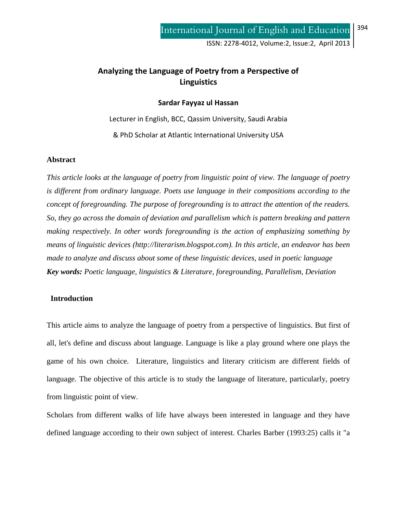# **Analyzing the Language of Poetry from a Perspective of Linguistics**

#### **Sardar Fayyaz ul Hassan**

Lecturer in English, BCC, Qassim University, Saudi Arabia & PhD Scholar at Atlantic International University USA

#### **Abstract**

*This article looks at the language of poetry from linguistic point of view. The language of poetry is different from ordinary language. Poets use language in their compositions according to the concept of foregrounding. The purpose of foregrounding is to attract the attention of the readers. So, they go across the domain of deviation and parallelism which is pattern breaking and pattern making respectively. In other words foregrounding is the action of emphasizing something by means of linguistic devices (http://literarism.blogspot.com). In this article, an endeavor has been made to analyze and discuss about some of these linguistic devices, used in poetic language Key words: Poetic language, linguistics & Literature, foregrounding, Parallelism, Deviation* 

#### **Introduction**

This article aims to analyze the language of poetry from a perspective of linguistics. But first of all, let's define and discuss about language. Language is like a play ground where one plays the game of his own choice. Literature, linguistics and literary criticism are different fields of language. The objective of this article is to study the language of literature, particularly, poetry from linguistic point of view.

Scholars from different walks of life have always been interested in language and they have defined language according to their own subject of interest. Charles Barber (1993:25) calls it "a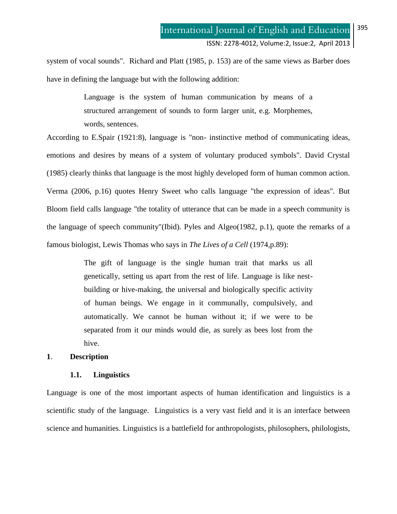system of vocal sounds". Richard and Platt (1985, p. 153) are of the same views as Barber does have in defining the language but with the following addition:

> Language is the system of human communication by means of a structured arrangement of sounds to form larger unit, e.g. Morphemes, words, sentences.

According to E.Spair (1921:8), language is "non- instinctive method of communicating ideas, emotions and desires by means of a system of voluntary produced symbols". David Crystal (1985) clearly thinks that language is the most highly developed form of human common action. Verma (2006, p.16) quotes Henry Sweet who calls language "the expression of ideas". But Bloom field calls language "the totality of utterance that can be made in a speech community is the language of speech community"(Ibid). Pyles and Algeo(1982, p.1), quote the remarks of a famous biologist, Lewis Thomas who says in *The Lives of a Cell* (1974,p.89):

> The gift of language is the single human trait that marks us all genetically, setting us apart from the rest of life. Language is like nestbuilding or hive-making, the universal and biologically specific activity of human beings. We engage in it communally, compulsively, and automatically. We cannot be human without it; if we were to be separated from it our minds would die, as surely as bees lost from the hive.

#### **1**. **Description**

### **1.1. Linguistics**

Language is one of the most important aspects of human identification and linguistics is a scientific study of the language. Linguistics is a very vast field and it is an interface between science and humanities. Linguistics is a battlefield for anthropologists, philosophers, philologists,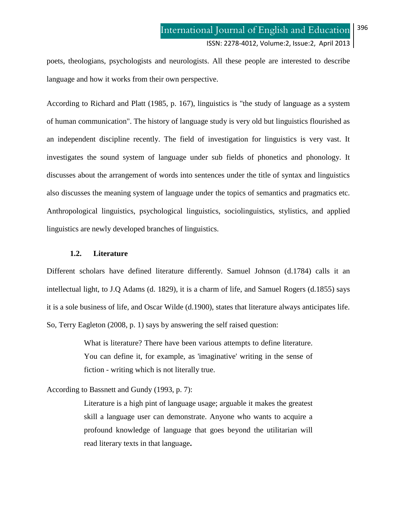poets, theologians, psychologists and neurologists. All these people are interested to describe language and how it works from their own perspective.

According to Richard and Platt (1985, p. 167), linguistics is "the study of language as a system of human communication". The history of language study is very old but linguistics flourished as an independent discipline recently. The field of investigation for linguistics is very vast. It investigates the sound system of language under sub fields of phonetics and phonology. It discusses about the arrangement of words into sentences under the title of syntax and linguistics also discusses the meaning system of language under the topics of semantics and pragmatics etc. Anthropological linguistics, psychological linguistics, sociolinguistics, stylistics, and applied linguistics are newly developed branches of linguistics.

### **1.2. Literature**

Different scholars have defined literature differently. Samuel Johnson (d.1784) calls it an intellectual light, to J.Q Adams (d. 1829), it is a charm of life, and Samuel Rogers (d.1855) says it is a sole business of life, and Oscar Wilde (d.1900), states that literature always anticipates life. So, Terry Eagleton (2008, p. 1) says by answering the self raised question:

> What is literature? There have been various attempts to define literature. You can define it, for example, as 'imaginative' writing in the sense of fiction - writing which is not literally true.

## According to Bassnett and Gundy (1993, p. 7):

Literature is a high pint of language usage; arguable it makes the greatest skill a language user can demonstrate. Anyone who wants to acquire a profound knowledge of language that goes beyond the utilitarian will read literary texts in that language**.**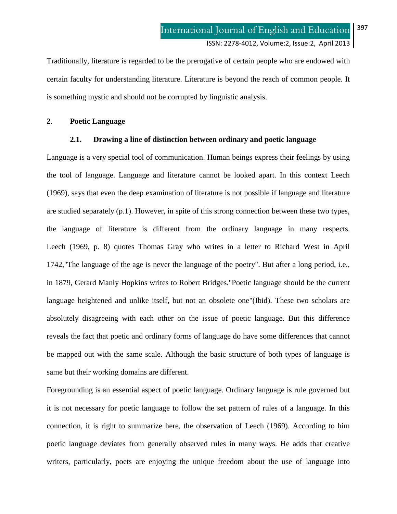Traditionally, literature is regarded to be the prerogative of certain people who are endowed with certain faculty for understanding literature. Literature is beyond the reach of common people. It is something mystic and should not be corrupted by linguistic analysis.

### **2**. **Poetic Language**

### **2.1. Drawing a line of distinction between ordinary and poetic language**

Language is a very special tool of communication. Human beings express their feelings by using the tool of language. Language and literature cannot be looked apart. In this context Leech (1969), says that even the deep examination of literature is not possible if language and literature are studied separately (p.1). However, in spite of this strong connection between these two types, the language of literature is different from the ordinary language in many respects. Leech (1969, p. 8) quotes Thomas Gray who writes in a letter to Richard West in April 1742,"The language of the age is never the language of the poetry". But after a long period, i.e., in 1879, Gerard Manly Hopkins writes to Robert Bridges."Poetic language should be the current language heightened and unlike itself, but not an obsolete one"(Ibid). These two scholars are absolutely disagreeing with each other on the issue of poetic language. But this difference reveals the fact that poetic and ordinary forms of language do have some differences that cannot be mapped out with the same scale. Although the basic structure of both types of language is same but their working domains are different.

Foregrounding is an essential aspect of poetic language. Ordinary language is rule governed but it is not necessary for poetic language to follow the set pattern of rules of a language. In this connection, it is right to summarize here, the observation of Leech (1969). According to him poetic language deviates from generally observed rules in many ways. He adds that creative writers, particularly, poets are enjoying the unique freedom about the use of language into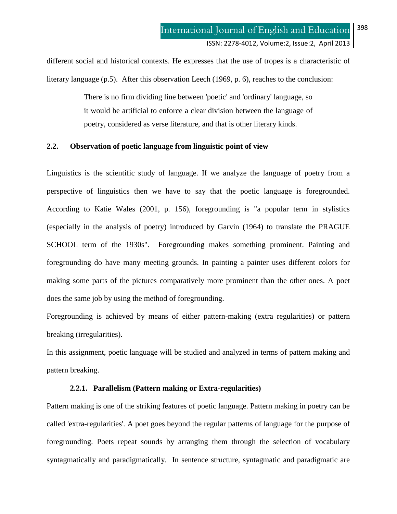different social and historical contexts. He expresses that the use of tropes is a characteristic of literary language (p.5). After this observation Leech (1969, p. 6), reaches to the conclusion:

> There is no firm dividing line between 'poetic' and 'ordinary' language, so it would be artificial to enforce a clear division between the language of poetry, considered as verse literature, and that is other literary kinds.

## **2.2. Observation of poetic language from linguistic point of view**

Linguistics is the scientific study of language. If we analyze the language of poetry from a perspective of linguistics then we have to say that the poetic language is foregrounded. According to Katie Wales (2001, p. 156), foregrounding is "a popular term in stylistics (especially in the analysis of poetry) introduced by Garvin (1964) to translate the PRAGUE SCHOOL term of the 1930s". Foregrounding makes something prominent. Painting and foregrounding do have many meeting grounds. In painting a painter uses different colors for making some parts of the pictures comparatively more prominent than the other ones. A poet does the same job by using the method of foregrounding.

Foregrounding is achieved by means of either pattern-making (extra regularities) or pattern breaking (irregularities).

In this assignment, poetic language will be studied and analyzed in terms of pattern making and pattern breaking.

#### **2.2.1. Parallelism (Pattern making or Extra-regularities)**

Pattern making is one of the striking features of poetic language. Pattern making in poetry can be called 'extra-regularities'. A poet goes beyond the regular patterns of language for the purpose of foregrounding. Poets repeat sounds by arranging them through the selection of vocabulary syntagmatically and paradigmatically. In sentence structure, syntagmatic and paradigmatic are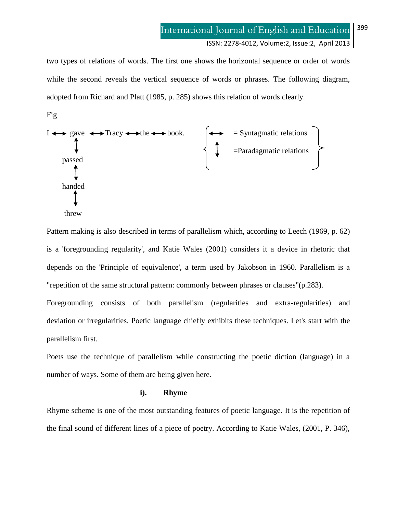ISSN: 2278-4012, Volume:2, Issue:2,April 2013

two types of relations of words. The first one shows the horizontal sequence or order of words while the second reveals the vertical sequence of words or phrases. The following diagram, adopted from Richard and Platt (1985, p. 285) shows this relation of words clearly.

Fig



Pattern making is also described in terms of parallelism which, according to Leech (1969, p. 62) is a 'foregrounding regularity', and Katie Wales (2001) considers it a device in rhetoric that depends on the 'Principle of equivalence', a term used by Jakobson in 1960. Parallelism is a "repetition of the same structural pattern: commonly between phrases or clauses"(p.283).

Foregrounding consists of both parallelism (regularities and extra-regularities) and deviation or irregularities. Poetic language chiefly exhibits these techniques. Let's start with the parallelism first.

Poets use the technique of parallelism while constructing the poetic diction (language) in a number of ways. Some of them are being given here.

#### **i). Rhyme**

Rhyme scheme is one of the most outstanding features of poetic language. It is the repetition of the final sound of different lines of a piece of poetry. According to Katie Wales, (2001, P. 346),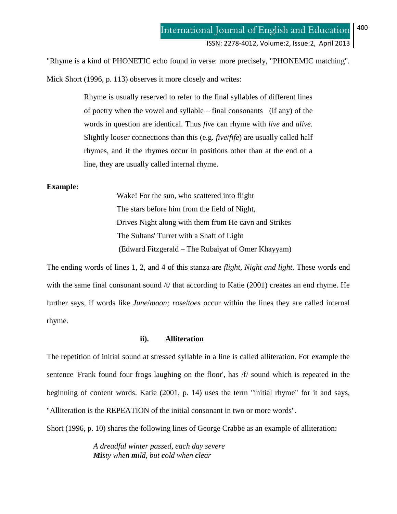"Rhyme is a kind of PHONETIC echo found in verse: more precisely, "PHONEMIC matching". Mick Short (1996, p. 113) observes it more closely and writes:

> Rhyme is usually reserved to refer to the final syllables of different lines of poetry when the vowel and syllable – final consonants (if any) of the words in question are identical. Thus *five* can rhyme with *live* and *alive*. Slightly looser connections than this (e.g. *five*/*fife*) are usually called half rhymes, and if the rhymes occur in positions other than at the end of a line, they are usually called internal rhyme.

### **Example:**

Wake! For the sun, who scattered into flight The stars before him from the field of Night, Drives Night along with them from He cavn and Strikes The Sultans' Turret with a Shaft of Light (Edward Fitzgerald – The Rubaiyat of Omer Khayyam)

The ending words of lines 1, 2, and 4 of this stanza are *flight, Night and light*. These words end with the same final consonant sound /t/ that according to Katie (2001) creates an end rhyme. He further says, if words like *June*/*moon; rose*/*toes* occur within the lines they are called internal rhyme.

## **ii). Alliteration**

The repetition of initial sound at stressed syllable in a line is called alliteration. For example the sentence 'Frank found four frogs laughing on the floor', has /f/ sound which is repeated in the beginning of content words. Katie (2001, p. 14) uses the term "initial rhyme" for it and says, "Alliteration is the REPEATION of the initial consonant in two or more words".

Short (1996, p. 10) shares the following lines of George Crabbe as an example of alliteration:

*A dreadful winter passed, each day severe Misty when mild, but cold when clear*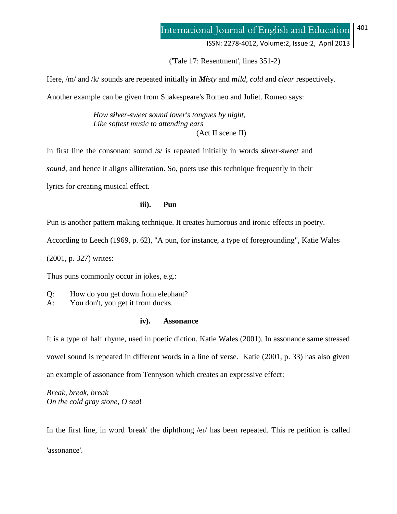('Tale 17: Resentment', lines 351-2)

Here, /m/ and /k/ sounds are repeated initially in *Misty* and *mild*, *cold* and *clear* respectively.

Another example can be given from Shakespeare's Romeo and Juliet. Romeo says:

*How silver-sweet sound lover's tongues by night, Like softest music to attending ears* (Act II scene II)

In first line the consonant sound /s/ is repeated initially in words *silver-sweet* and *sound*, and hence it aligns alliteration. So, poets use this technique frequently in their lyrics for creating musical effect.

**iii). Pun**

Pun is another pattern making technique. It creates humorous and ironic effects in poetry.

According to Leech (1969, p. 62), "A pun, for instance, a type of foregrounding", Katie Wales

(2001, p. 327) writes:

Thus puns commonly occur in jokes, e.g.:

Q: How do you get down from elephant?

A: You don't, you get it from ducks.

### **iv). Assonance**

It is a type of half rhyme, used in poetic diction. Katie Wales (2001). In assonance same stressed vowel sound is repeated in different words in a line of verse. Katie (2001, p. 33) has also given an example of assonance from Tennyson which creates an expressive effect:

*Break, break, break On the cold gray stone, O sea*!

In the first line, in word 'break' the diphthong  $\ell$  and  $\ell$  has been repeated. This re petition is called 'assonance'.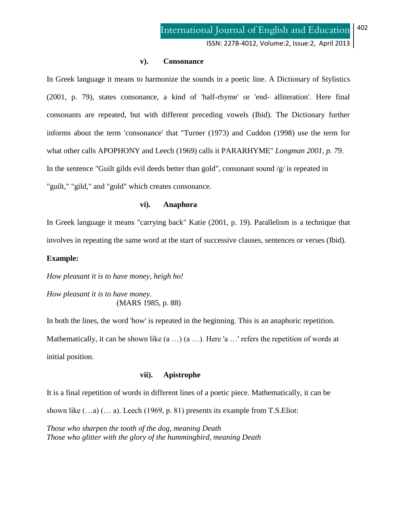ISSN: 2278-4012, Volume:2, Issue:2,April 2013

#### **v). Consonance**

In Greek language it means to harmonize the sounds in a poetic line. A Dictionary of Stylistics (2001, p. 79), states consonance, a kind of 'half-rhyme' or 'end- alliteration'. Here final consonants are repeated, but with different preceding vowels (Ibid). The Dictionary further informs about the term 'consonance' that "Turner (1973) and Cuddon (1998) use the term for what other calls APOPHONY and Leech (1969) calls it PARARHYME" *Longman 2001, p. 79.* In the sentence "Guilt gilds evil deeds better than gold", consonant sound /g/ is repeated in "guilt," "gild," and "gold" which creates consonance.

### **vi). Anaphora**

In Greek language it means "carrying back" Katie (2001, p. 19). Parallelism is a technique that involves in repeating the same word at the start of successive clauses, sentences or verses (Ibid).

#### **Example:**

*How pleasant it is to have money, heigh ho!*

*How pleasant it is to have money.* (MARS 1985, p. 88)

In both the lines, the word 'how' is repeated in the beginning. This is an anaphoric repetition. Mathematically, it can be shown like  $(a \ldots)$   $(a \ldots)$ . Here 'a  $\ldots$ ' refers the repetition of words at initial position.

#### **vii). Apistrophe**

It is a final repetition of words in different lines of a poetic piece. Mathematically, it can be shown like  $(...a)$   $(... a)$ . Leech (1969, p. 81) presents its example from T.S. Eliot:

*Those who sharpen the tooth of the dog, meaning Death Those who glitter with the glory of the hummingbird, meaning Death*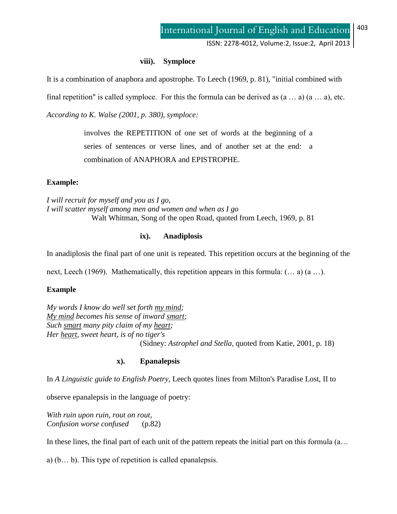ISSN: 2278-4012, Volume:2, Issue:2,April 2013

### **viii). Symploce**

It is a combination of anaphora and apostrophe. To Leech (1969, p. 81), "initial combined with

final repetition" is called symploce. For this the formula can be derived as  $(a \dots a)$   $(a \dots a)$ , etc.

*According to K. Walse (2001, p. 380), symploce:*

involves the REPETITION of one set of words at the beginning of a series of sentences or verse lines, and of another set at the end: a combination of ANAPHORA and EPISTROPHE.

## **Example:**

*I will recruit for myself and you as I go, I will scatter myself among men and women and when as I go* Walt Whitman, Song of the open Road, quoted from Leech, 1969, p. 81

### **ix). Anadiplosis**

In anadiplosis the final part of one unit is repeated. This repetition occurs at the beginning of the

next, Leech (1969). Mathematically, this repetition appears in this formula: (… a) (a …).

## **Example**

*My words I know do well set forth my mind; My mind becomes his sense of inward smart; Such smart many pity claim of my heart; Her heart, sweet heart, is of no tiger's* (Sidney: *Astrophel and Stella*, quoted from Katie, 2001, p. 18)

## **x). Epanalepsis**

In *A Linguistic guide to English Poetry*, Leech quotes lines from Milton's Paradise Lost, II to

observe epanalepsis in the language of poetry:

*With ruin upon ruin, rout on rout, Confusion worse confused* (p.82)

In these lines, the final part of each unit of the pattern repeats the initial part on this formula (a…

a) (b… b). This type of repetition is called epanalepsis.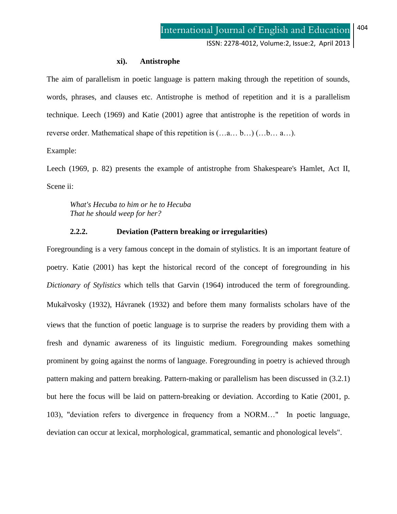#### **xi). Antistrophe**

The aim of parallelism in poetic language is pattern making through the repetition of sounds, words, phrases, and clauses etc. Antistrophe is method of repetition and it is a parallelism technique. Leech (1969) and Katie (2001) agree that antistrophe is the repetition of words in reverse order. Mathematical shape of this repetition is (…a… b…) (…b… a…).

Example:

Leech (1969, p. 82) presents the example of antistrophe from Shakespeare's Hamlet, Act II, Scene ii:

*What's Hecuba to him or he to Hecuba That he should weep for her?*

## **2.2.2. Deviation (Pattern breaking or irregularities)**

Foregrounding is a very famous concept in the domain of stylistics. It is an important feature of poetry. Katie (2001) has kept the historical record of the concept of foregrounding in his *Dictionary of Stylistics* which tells that Garvin (1964) introduced the term of foregrounding. Mukařvosky (1932), Hávranek (1932) and before them many formalists scholars have of the views that the function of poetic language is to surprise the readers by providing them with a fresh and dynamic awareness of its linguistic medium. Foregrounding makes something prominent by going against the norms of language. Foregrounding in poetry is achieved through pattern making and pattern breaking. Pattern-making or parallelism has been discussed in (3.2.1) but here the focus will be laid on pattern-breaking or deviation. According to Katie (2001, p. 103), "deviation refers to divergence in frequency from a NORM…" In poetic language, deviation can occur at lexical, morphological, grammatical, semantic and phonological levels".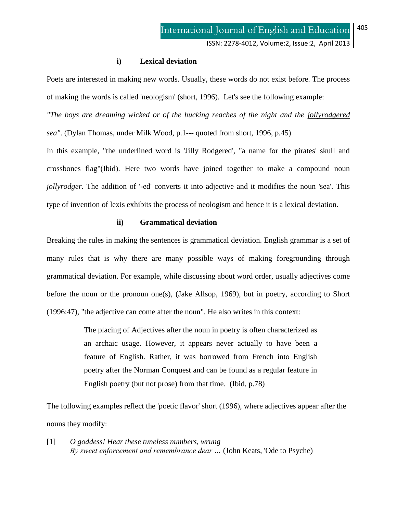## **i) Lexical deviation**

Poets are interested in making new words. Usually, these words do not exist before. The process of making the words is called 'neologism' (short, 1996). Let's see the following example:

*"The boys are dreaming wicked or of the bucking reaches of the night and the jollyrodgered*

*sea"*. (Dylan Thomas, under Milk Wood, p.1--- quoted from short, 1996, p.45)

In this example, "the underlined word is 'Jilly Rodgered', "a name for the pirates' skull and crossbones flag"(Ibid). Here two words have joined together to make a compound noun *jollyrodger*. The addition of '-ed' converts it into adjective and it modifies the noun 'sea'. This type of invention of lexis exhibits the process of neologism and hence it is a lexical deviation.

## **ii) Grammatical deviation**

Breaking the rules in making the sentences is grammatical deviation. English grammar is a set of many rules that is why there are many possible ways of making foregrounding through grammatical deviation. For example, while discussing about word order, usually adjectives come before the noun or the pronoun one(s), (Jake Allsop, 1969), but in poetry, according to Short (1996:47), "the adjective can come after the noun". He also writes in this context:

> The placing of Adjectives after the noun in poetry is often characterized as an archaic usage. However, it appears never actually to have been a feature of English. Rather, it was borrowed from French into English poetry after the Norman Conquest and can be found as a regular feature in English poetry (but not prose) from that time. (Ibid, p.78)

The following examples reflect the 'poetic flavor' short (1996), where adjectives appear after the nouns they modify:

[1] *O goddess! Hear these tuneless numbers, wrung By sweet enforcement and remembrance dear …* (John Keats, 'Ode to Psyche)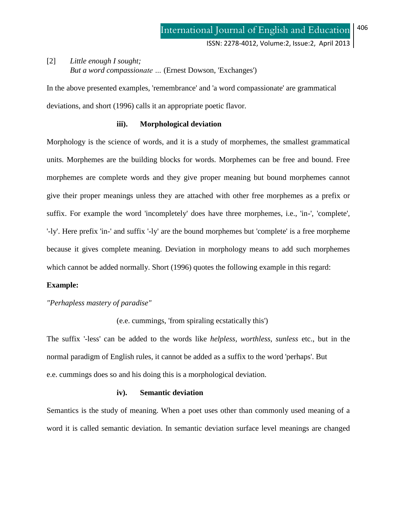## [2] *Little enough I sought; But a word compassionate …* (Ernest Dowson, 'Exchanges')

In the above presented examples, 'remembrance' and 'a word compassionate' are grammatical deviations, and short (1996) calls it an appropriate poetic flavor.

### **iii). Morphological deviation**

Morphology is the science of words, and it is a study of morphemes, the smallest grammatical units. Morphemes are the building blocks for words. Morphemes can be free and bound. Free morphemes are complete words and they give proper meaning but bound morphemes cannot give their proper meanings unless they are attached with other free morphemes as a prefix or suffix. For example the word 'incompletely' does have three morphemes, i.e., 'in-', 'complete', '-ly'. Here prefix 'in-' and suffix '-ly' are the bound morphemes but 'complete' is a free morpheme because it gives complete meaning. Deviation in morphology means to add such morphemes which cannot be added normally. Short (1996) quotes the following example in this regard:

#### **Example:**

*"Perhapless mastery of paradise"*

(e.e. cummings, 'from spiraling ecstatically this')

The suffix '-less' can be added to the words like *helpless, worthless, sunless* etc., but in the normal paradigm of English rules, it cannot be added as a suffix to the word 'perhaps'. But e.e. cummings does so and his doing this is a morphological deviation.

### **iv). Semantic deviation**

Semantics is the study of meaning. When a poet uses other than commonly used meaning of a word it is called semantic deviation. In semantic deviation surface level meanings are changed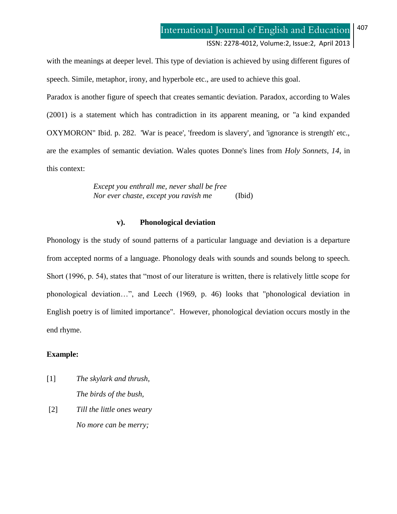with the meanings at deeper level. This type of deviation is achieved by using different figures of speech. Simile, metaphor, irony, and hyperbole etc., are used to achieve this goal.

Paradox is another figure of speech that creates semantic deviation. Paradox, according to Wales (2001) is a statement which has contradiction in its apparent meaning, or "a kind expanded OXYMORON" Ibid. p. 282. 'War is peace', 'freedom is slavery', and 'ignorance is strength' etc., are the examples of semantic deviation. Wales quotes Donne's lines from *Holy Sonnets, 14*, in this context:

> *Except you enthrall me, never shall be free Nor ever chaste, except you ravish me* (Ibid)

### **v). Phonological deviation**

Phonology is the study of sound patterns of a particular language and deviation is a departure from accepted norms of a language. Phonology deals with sounds and sounds belong to speech. Short (1996, p. 54), states that "most of our literature is written, there is relatively little scope for phonological deviation…", and Leech (1969, p. 46) looks that "phonological deviation in English poetry is of limited importance". However, phonological deviation occurs mostly in the end rhyme.

### **Example:**

- [1] *The skylark and thrush, The birds of the bush,*
- [2] *Till the little ones weary No more can be merry;*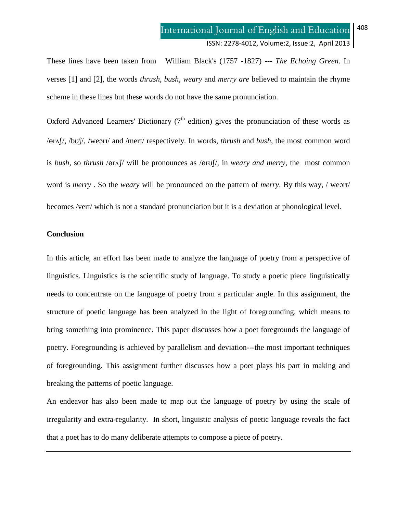These lines have been taken from William Black's (1757 -1827) --- *The Echoing Green*. In verses [1] and [2], the words *thrush*, *bush*, *weary* and *merry are* believed to maintain the rhyme scheme in these lines but these words do not have the same pronunciation.

Oxford Advanced Learners' Dictionary  $(7<sup>th</sup>$  edition) gives the pronunciation of these words as / $\frac{\partial f}{\partial x}$ , /bu $\int$ , /wearl/ and /merl/ respectively. In words, *thrush* and *bush*, the most common word is *bush,* so *thrush* / $\text{er}\Lambda$ / will be pronounces as / $\text{er}\Lambda$ /, in *weary and merry*, the most common word is *merry*. So the *weary* will be pronounced on the pattern of *merry*. By this way, / wearl/ becomes /ver1/ which is not a standard pronunciation but it is a deviation at phonological level.

#### **Conclusion**

In this article, an effort has been made to analyze the language of poetry from a perspective of linguistics. Linguistics is the scientific study of language. To study a poetic piece linguistically needs to concentrate on the language of poetry from a particular angle. In this assignment, the structure of poetic language has been analyzed in the light of foregrounding, which means to bring something into prominence. This paper discusses how a poet foregrounds the language of poetry. Foregrounding is achieved by parallelism and deviation---the most important techniques of foregrounding. This assignment further discusses how a poet plays his part in making and breaking the patterns of poetic language.

An endeavor has also been made to map out the language of poetry by using the scale of irregularity and extra-regularity. In short, linguistic analysis of poetic language reveals the fact that a poet has to do many deliberate attempts to compose a piece of poetry.